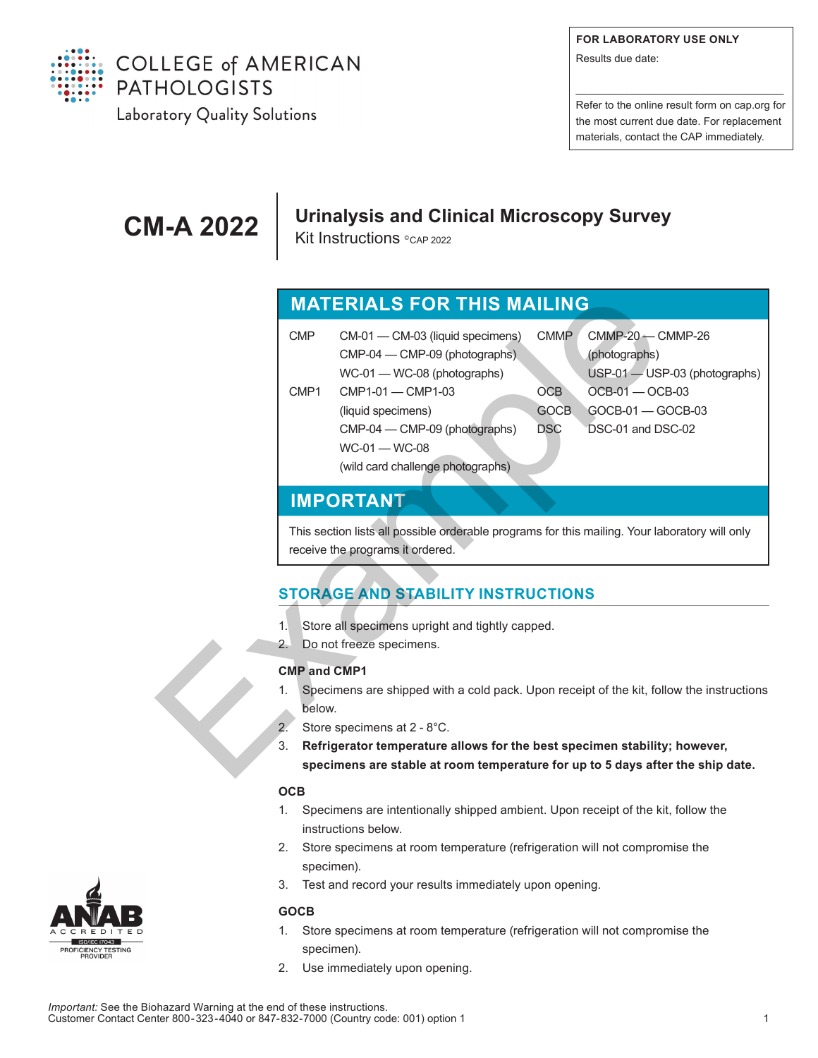**COLLEGE of AMERICAN PATHOLOGISTS** 

**Laboratory Quality Solutions** 

**FOR LABORATORY USE ONLY**

Results due date:

Refer to the online result form on cap.org for the most current due date. For replacement materials, contact the CAP immediately.

\_\_\_\_\_\_\_\_\_\_\_\_\_\_\_\_\_\_\_\_\_\_\_\_\_\_\_\_\_\_\_\_\_\_\_

# **CM-A 2022 Urinalysis and Clinical Microscopy Survey**

Kit Instructions © CAP 2022

## **MATERIALS FOR THIS MAILING**

|                                     | <b>MATERIALS FOR THIS MAILING</b>                                                                                                                                                          |                                         |                                                                           |
|-------------------------------------|--------------------------------------------------------------------------------------------------------------------------------------------------------------------------------------------|-----------------------------------------|---------------------------------------------------------------------------|
| <b>CMP</b>                          | CM-01 - CM-03 (liquid specimens)<br>CMP-04 - CMP-09 (photographs)<br>WC-01 - WC-08 (photographs)                                                                                           | <b>CMMP</b>                             | $CMMP-20$ - $CMMP-26$<br>(photographs)<br>$USP-01$ - USP-03 (photographs) |
| CMP <sub>1</sub>                    | CMP1-01 - CMP1-03<br>(liquid specimens)<br>CMP-04 - CMP-09 (photographs)<br>$WC-01 - WC-08$<br>(wild card challenge photographs)                                                           | <b>OCB</b><br><b>GOCB</b><br><b>DSC</b> | OCB-01 - OCB-03<br>GOCB-01 - GOCB-03<br>DSC-01 and DSC-02                 |
|                                     | <b>IMPORTANT</b>                                                                                                                                                                           |                                         |                                                                           |
|                                     | This section lists all possible orderable programs for this mailing. Your laboratory will only<br>receive the programs it ordered.                                                         |                                         |                                                                           |
|                                     | <b>STORAGE AND STABILITY INSTRUCTIONS</b>                                                                                                                                                  |                                         |                                                                           |
| 1.<br>2.                            | Store all specimens upright and tightly capped.<br>Do not freeze specimens.                                                                                                                |                                         |                                                                           |
| <b>CMP and CMP1</b><br>1.<br>below. | Specimens are shipped with a cold pack. Upon receipt of the kit, follow the instructions                                                                                                   |                                         |                                                                           |
| 2 <sup>7</sup><br>3.                | Store specimens at 2 - 8°C.<br>Refrigerator temperature allows for the best specimen stability; however,<br>specimens are stable at room temperature for up to 5 days after the ship date. |                                         |                                                                           |

### **IMPORTANT**

### **STORAGE AND STABILITY INSTRUCTIONS**

- 1. Store all specimens upright and tightly capped.
- 2. Do not freeze specimens.

#### **CMP and CMP1**

- 1. Specimens are shipped with a cold pack. Upon receipt of the kit, follow the instructions below.
- 2. Store specimens at 2 8°C.
- 3. **Refrigerator temperature allows for the best specimen stability; however, specimens are stable at room temperature for up to 5 days after the ship date.**

#### **OCB**

- 1. Specimens are intentionally shipped ambient. Upon receipt of the kit, follow the instructions below.
- 2. Store specimens at room temperature (refrigeration will not compromise the specimen).
- 3. Test and record your results immediately upon opening.

#### **GOCB**

- 1. Store specimens at room temperature (refrigeration will not compromise the specimen).
- 2. Use immediately upon opening.

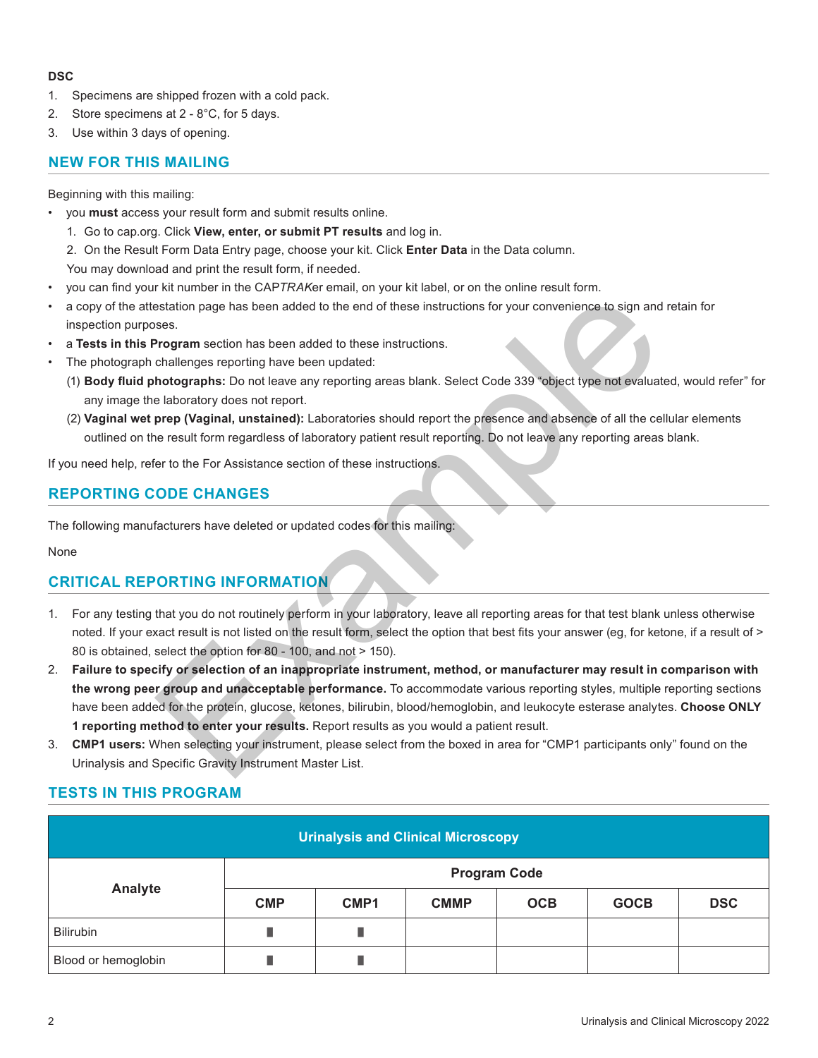#### **DSC**

- 1. Specimens are shipped frozen with a cold pack.
- 2. Store specimens at 2 8°C, for 5 days.
- 3. Use within 3 days of opening.

#### **NEW FOR THIS MAILING**

Beginning with this mailing:

- you **must** access your result form and submit results online.
	- 1. Go to cap.org. Click **View, enter, or submit PT results** and log in.
	- 2. On the Result Form Data Entry page, choose your kit. Click **Enter Data** in the Data column.

You may download and print the result form, if needed.

- you can find your kit number in the CAP*TRAK*er email, on your kit label, or on the online result form.
- a copy of the attestation page has been added to the end of these instructions for your convenience to sign and retain for inspection purposes.
- a **Tests in this Program** section has been added to these instructions.
- The photograph challenges reporting have been updated:
	- (1) **Body fluid photographs:** Do not leave any reporting areas blank. Select Code 339 "object type not evaluated, would refer" for any image the laboratory does not report.
	- (2) **Vaginal wet prep (Vaginal, unstained):** Laboratories should report the presence and absence of all the cellular elements outlined on the result form regardless of laboratory patient result reporting. Do not leave any reporting areas blank.

If you need help, refer to the For Assistance section of these instructions.

### **REPORTING CODE CHANGES**

The following manufacturers have deleted or updated codes for this mailing:

#### None

### **CRITICAL REPORTING INFORMATION**

- 1. For any testing that you do not routinely perform in your laboratory, leave all reporting areas for that test blank unless otherwise noted. If your exact result is not listed on the result form, select the option that best fits your answer (eg, for ketone, if a result of > 80 is obtained, select the option for 80 - 100, and not > 150).
- 2. **Failure to specify or selection of an inappropriate instrument, method, or manufacturer may result in comparison with the wrong peer group and unacceptable performance.** To accommodate various reporting styles, multiple reporting sections have been added for the protein, glucose, ketones, bilirubin, blood/hemoglobin, and leukocyte esterase analytes. **Choose ONLY 1 reporting method to enter your results.** Report results as you would a patient result. station page has been added to the end of these instructions for your convenience to sign and<br>sess.<br>Challenges reporting have been updated:<br>Challenges reporting have been updated:<br>challenges reporting have been updated:<br>ch
- 3. **CMP1 users:** When selecting your instrument, please select from the boxed in area for "CMP1 participants only" found on the Urinalysis and Specific Gravity Instrument Master List.

### **TESTS IN THIS PROGRAM**

| <b>Urinalysis and Clinical Microscopy</b> |                     |                  |             |            |             |            |  |
|-------------------------------------------|---------------------|------------------|-------------|------------|-------------|------------|--|
|                                           | <b>Program Code</b> |                  |             |            |             |            |  |
| Analyte                                   | <b>CMP</b>          | CMP <sub>1</sub> | <b>CMMP</b> | <b>OCB</b> | <b>GOCB</b> | <b>DSC</b> |  |
| <b>Bilirubin</b>                          |                     | ٠                |             |            |             |            |  |
| Blood or hemoglobin                       |                     |                  |             |            |             |            |  |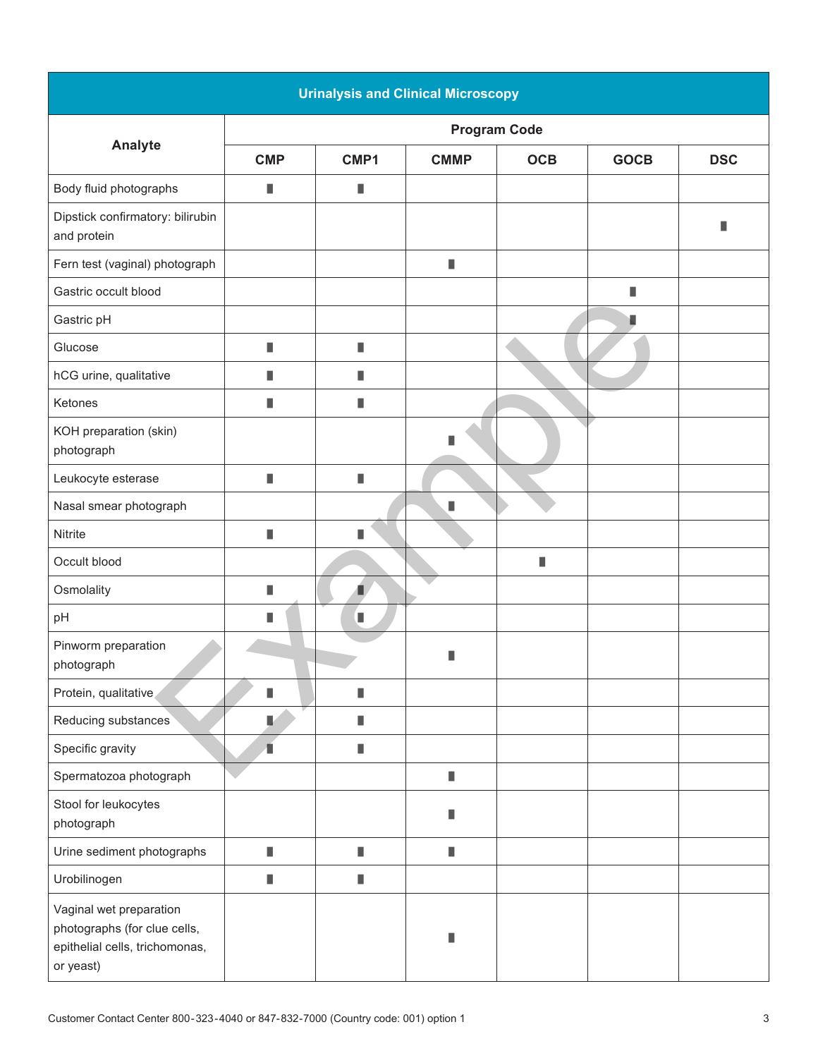| <b>Urinalysis and Clinical Microscopy</b>                                                              |            |      |                          |                     |             |            |
|--------------------------------------------------------------------------------------------------------|------------|------|--------------------------|---------------------|-------------|------------|
|                                                                                                        |            |      |                          | <b>Program Code</b> |             |            |
| Analyte                                                                                                | <b>CMP</b> | CMP1 | <b>CMMP</b>              | <b>OCB</b>          | <b>GOCB</b> | <b>DSC</b> |
| Body fluid photographs                                                                                 | I.         | L    |                          |                     |             |            |
| Dipstick confirmatory: bilirubin<br>and protein                                                        |            |      |                          |                     |             | ٠          |
| Fern test (vaginal) photograph                                                                         |            |      | L                        |                     |             |            |
| Gastric occult blood                                                                                   |            |      |                          |                     | п           |            |
| Gastric pH                                                                                             |            |      |                          |                     | a           |            |
| Glucose                                                                                                | L          | I.   |                          |                     |             |            |
| hCG urine, qualitative                                                                                 | I.         | D    |                          |                     |             |            |
| Ketones                                                                                                | I.         | L    |                          |                     |             |            |
| KOH preparation (skin)<br>photograph                                                                   |            |      | ٠                        |                     |             |            |
| Leukocyte esterase                                                                                     | п          | П    |                          |                     |             |            |
| Nasal smear photograph                                                                                 |            |      | L                        |                     |             |            |
| Nitrite                                                                                                | L          | П    |                          |                     |             |            |
| Occult blood                                                                                           |            |      |                          | I.                  |             |            |
| Osmolality                                                                                             | L          |      |                          |                     |             |            |
| pH                                                                                                     | п          | L    |                          |                     |             |            |
| Pinworm preparation<br>photograph                                                                      |            |      | п                        |                     |             |            |
| Protein, qualitative,                                                                                  | L          | I.   |                          |                     |             |            |
| Reducing substances                                                                                    | ų          | L    |                          |                     |             |            |
| Specific gravity                                                                                       | ī          | I.   |                          |                     |             |            |
| Spermatozoa photograph                                                                                 |            |      | ı                        |                     |             |            |
| Stool for leukocytes<br>photograph                                                                     |            |      | $\overline{\phantom{a}}$ |                     |             |            |
| Urine sediment photographs                                                                             | L          | I.   | L                        |                     |             |            |
| Urobilinogen                                                                                           | I.         | ı    |                          |                     |             |            |
| Vaginal wet preparation<br>photographs (for clue cells,<br>epithelial cells, trichomonas,<br>or yeast) |            |      |                          |                     |             |            |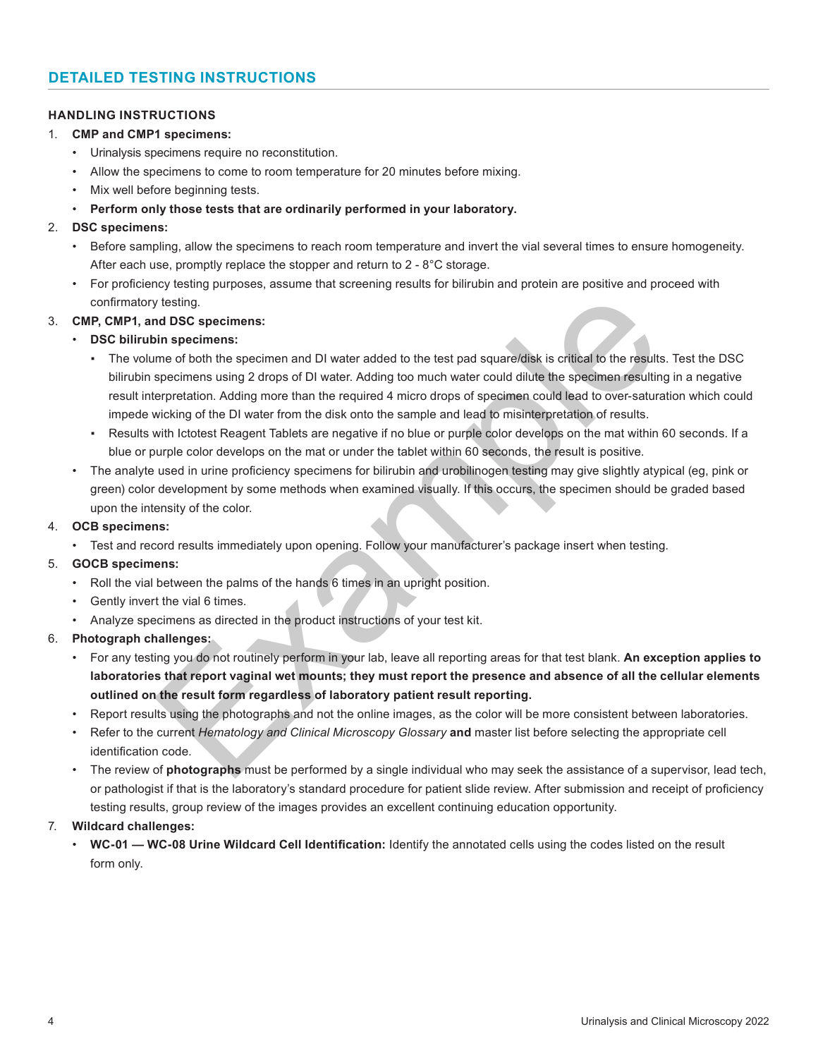#### **HANDLING INSTRUCTIONS**

#### 1. **CMP and CMP1 specimens:**

- Urinalysis specimens require no reconstitution.
- Allow the specimens to come to room temperature for 20 minutes before mixing.
- Mix well before beginning tests.
- **Perform only those tests that are ordinarily performed in your laboratory.**

#### 2. **DSC specimens:**

- Before sampling, allow the specimens to reach room temperature and invert the vial several times to ensure homogeneity. After each use, promptly replace the stopper and return to 2 - 8°C storage.
- For proficiency testing purposes, assume that screening results for bilirubin and protein are positive and proceed with confirmatory testing.

#### 3. **CMP, CMP1, and DSC specimens:**

- **DSC bilirubin specimens:**
- The volume of both the specimen and DI water added to the test pad square/disk is critical to the results. Test the DSC bilirubin specimens using 2 drops of DI water. Adding too much water could dilute the specimen resulting in a negative result interpretation. Adding more than the required 4 micro drops of specimen could lead to over-saturation which could impede wicking of the DI water from the disk onto the sample and lead to misinterpretation of results. thesting.<br>
In specimens:<br>
In SPG specimens:<br>
Inn specimens:<br>
Inn specimens:<br>
Inn specimens:<br>
Inn specimens using 2 drops of DI water. Adding too much wate roudd dilute the specime<br>
speciment surface there are alleged to mo
	- Results with Ictotest Reagent Tablets are negative if no blue or purple color develops on the mat within 60 seconds. If a blue or purple color develops on the mat or under the tablet within 60 seconds, the result is positive.
- The analyte used in urine proficiency specimens for bilirubin and urobilinogen testing may give slightly atypical (eg, pink or green) color development by some methods when examined visually. If this occurs, the specimen should be graded based upon the intensity of the color.

#### 4. **OCB specimens:**

• Test and record results immediately upon opening. Follow your manufacturer's package insert when testing.

#### 5. **GOCB specimens:**

- Roll the vial between the palms of the hands 6 times in an upright position.
- Gently invert the vial 6 times.
- Analyze specimens as directed in the product instructions of your test kit.

#### 6. **Photograph challenges:**

- For any testing you do not routinely perform in your lab, leave all reporting areas for that test blank. **An exception applies to laboratories that report vaginal wet mounts; they must report the presence and absence of all the cellular elements outlined on the result form regardless of laboratory patient result reporting.**
- Report results using the photographs and not the online images, as the color will be more consistent between laboratories.
- Refer to the current *Hematology and Clinical Microscopy Glossary* **and** master list before selecting the appropriate cell identification code.
- The review of **photographs** must be performed by a single individual who may seek the assistance of a supervisor, lead tech, or pathologist if that is the laboratory's standard procedure for patient slide review. After submission and receipt of proficiency testing results, group review of the images provides an excellent continuing education opportunity.

#### 7. **Wildcard challenges:**

• **WC-01 — WC-08 Urine Wildcard Cell Identification:** Identify the annotated cells using the codes listed on the result form only.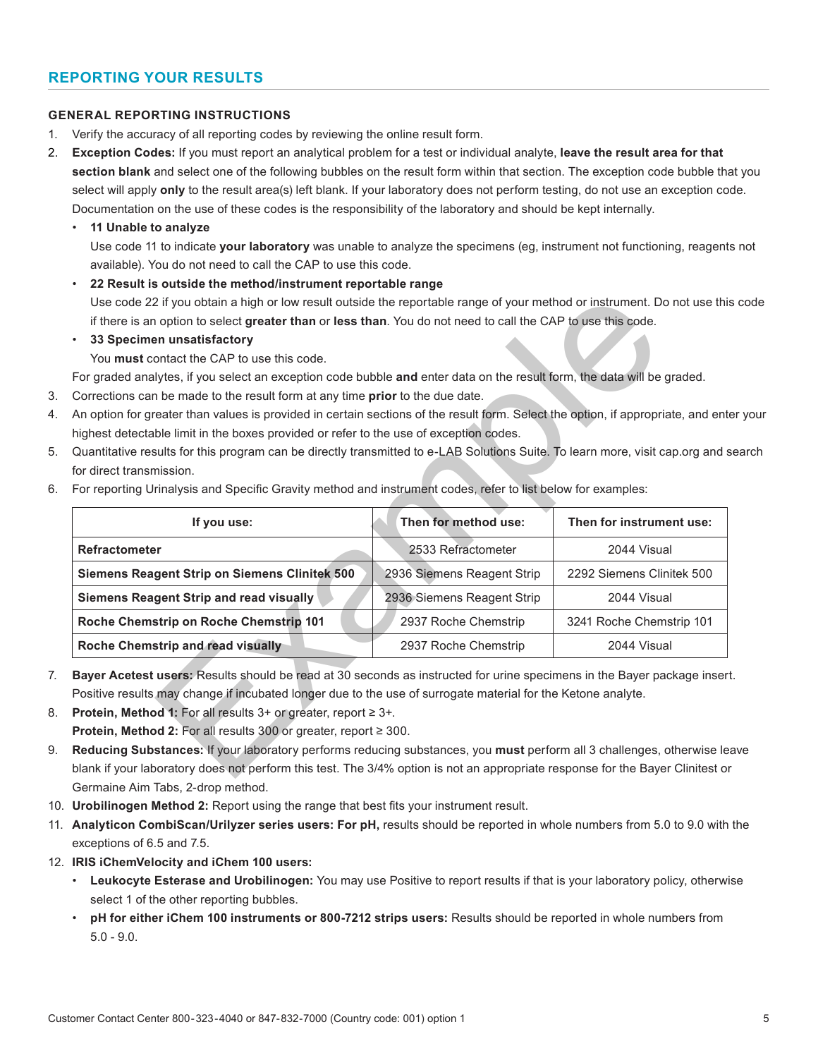#### **REPORTING YOUR RESULTS**

#### **GENERAL REPORTING INSTRUCTIONS**

- 1. Verify the accuracy of all reporting codes by reviewing the online result form.
- 2. **Exception Codes:** If you must report an analytical problem for a test or individual analyte, **leave the result area for that section blank** and select one of the following bubbles on the result form within that section. The exception code bubble that you select will apply **only** to the result area(s) left blank. If your laboratory does not perform testing, do not use an exception code. Documentation on the use of these codes is the responsibility of the laboratory and should be kept internally.
	- **11 Unable to analyze**

Use code 11 to indicate **your laboratory** was unable to analyze the specimens (eg, instrument not functioning, reagents not available). You do not need to call the CAP to use this code.

- **22 Result is outside the method/instrument reportable range** Use code 22 if you obtain a high or low result outside the reportable range of your method or instrument. Do not use this code if there is an option to select **greater than** or **less than**. You do not need to call the CAP to use this code.
- **33 Specimen unsatisfactory**

- 3. Corrections can be made to the result form at any time **prior** to the due date.
- 4. An option for greater than values is provided in certain sections of the result form. Select the option, if appropriate, and enter your highest detectable limit in the boxes provided or refer to the use of exception codes.
- 5. Quantitative results for this program can be directly transmitted to e-LAB Solutions Suite. To learn more, visit cap.org and search for direct transmission.
- 6. For reporting Urinalysis and Specific Gravity method and instrument codes, refer to list below for examples:

| Use code 22 if you obtain a high or low result outside the reportable range of your method or instrument. Do not use th                                                                                                                                |                            |                           |
|--------------------------------------------------------------------------------------------------------------------------------------------------------------------------------------------------------------------------------------------------------|----------------------------|---------------------------|
| if there is an option to select greater than or less than. You do not need to call the CAP to use this code.                                                                                                                                           |                            |                           |
| 33 Specimen unsatisfactory<br>$\bullet$                                                                                                                                                                                                                |                            |                           |
| You must contact the CAP to use this code.                                                                                                                                                                                                             |                            |                           |
| For graded analytes, if you select an exception code bubble and enter data on the result form, the data will be graded.                                                                                                                                |                            |                           |
| Corrections can be made to the result form at any time <b>prior</b> to the due date.                                                                                                                                                                   |                            |                           |
| An option for greater than values is provided in certain sections of the result form. Select the option, if appropriate, and en                                                                                                                        |                            |                           |
| highest detectable limit in the boxes provided or refer to the use of exception codes.                                                                                                                                                                 |                            |                           |
| Quantitative results for this program can be directly transmitted to e-LAB Solutions Suite. To learn more, visit cap.org and                                                                                                                           |                            |                           |
| for direct transmission.                                                                                                                                                                                                                               |                            |                           |
| For reporting Urinalysis and Specific Gravity method and instrument codes, refer to list below for examples:                                                                                                                                           |                            |                           |
| If you use:                                                                                                                                                                                                                                            | Then for method use:       | Then for instrument use:  |
| <b>Refractometer</b>                                                                                                                                                                                                                                   | 2533 Refractometer         | 2044 Visual               |
| Siemens Reagent Strip on Siemens Clinitek 500                                                                                                                                                                                                          | 2936 Siemens Reagent Strip | 2292 Siemens Clinitek 500 |
| <b>Siemens Reagent Strip and read visually</b>                                                                                                                                                                                                         | 2936 Siemens Reagent Strip | 2044 Visual               |
| Roche Chemstrip on Roche Chemstrip 101                                                                                                                                                                                                                 | 2937 Roche Chemstrip       | 3241 Roche Chemstrip 101  |
| <b>Roche Chemstrip and read visually</b>                                                                                                                                                                                                               | 2937 Roche Chemstrip       | 2044 Visual               |
| Bayer Acetest users: Results should be read at 30 seconds as instructed for urine specimens in the Bayer package inse                                                                                                                                  |                            |                           |
| Positive results may change if incubated longer due to the use of surrogate material for the Ketone analyte.                                                                                                                                           |                            |                           |
| <b>Protein, Method 1:</b> For all results $3+$ or greater, report $\geq 3+.$                                                                                                                                                                           |                            |                           |
|                                                                                                                                                                                                                                                        |                            |                           |
| <b>Protein, Method 2:</b> For all results 300 or greater, report $\geq$ 300.                                                                                                                                                                           |                            |                           |
| Reducing Substances: If your laboratory performs reducing substances, you must perform all 3 challenges, otherwise le<br>blank if your laboratory does not perform this test. The 3/4% option is not an appropriate response for the Bayer Clinitest o |                            |                           |

- 7. **Bayer Acetest users:** Results should be read at 30 seconds as instructed for urine specimens in the Bayer package insert. Positive results may change if incubated longer due to the use of surrogate material for the Ketone analyte.
- 8. **Protein, Method 1:** For all results 3+ or greater, report ≥ 3+. **Protein, Method 2:** For all results 300 or greater, report ≥ 300.
- 9. **Reducing Substances:** If your laboratory performs reducing substances, you **must** perform all 3 challenges, otherwise leave blank if your laboratory does not perform this test. The 3/4% option is not an appropriate response for the Bayer Clinitest or Germaine Aim Tabs, 2-drop method.
- 10. **Urobilinogen Method 2:** Report using the range that best fits your instrument result.
- 11. **Analyticon CombiScan/Urilyzer series users: For pH,** results should be reported in whole numbers from 5.0 to 9.0 with the exceptions of 6.5 and 7.5.
- 12. **IRIS iChemVelocity and iChem 100 users:**
	- **Leukocyte Esterase and Urobilinogen:** You may use Positive to report results if that is your laboratory policy, otherwise select 1 of the other reporting bubbles.
	- **pH for either iChem 100 instruments or 800-7212 strips users:** Results should be reported in whole numbers from 5.0 - 9.0.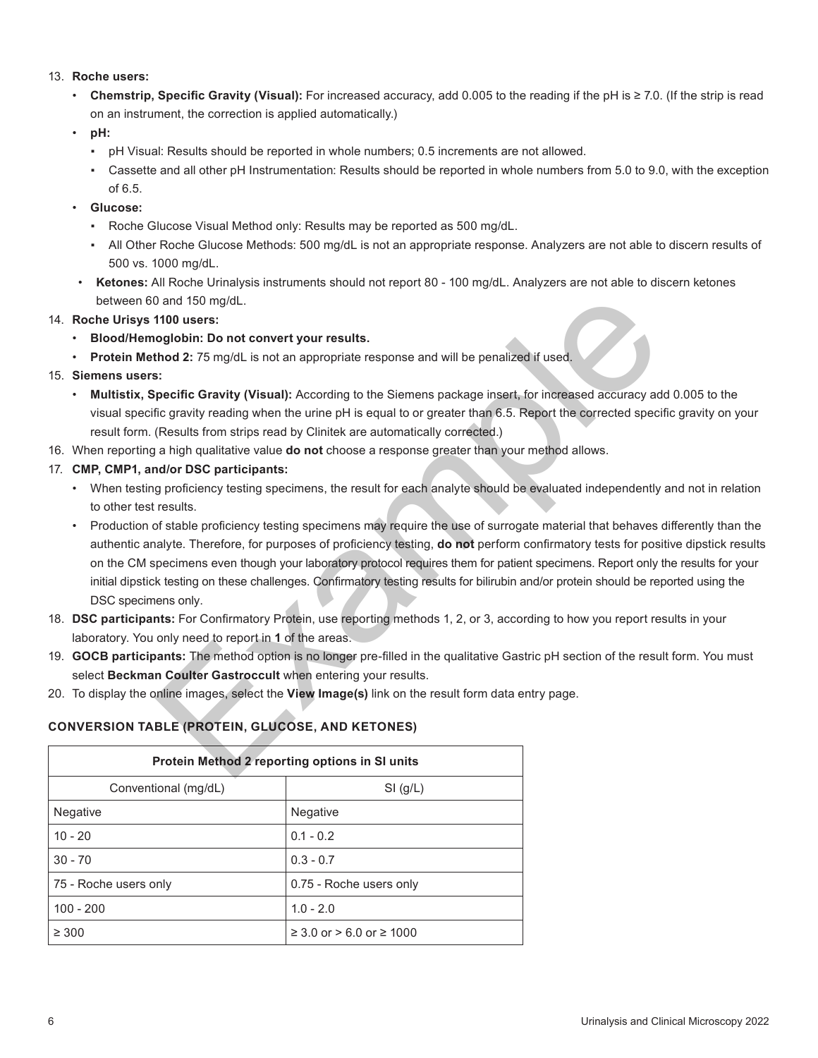#### 13. **Roche users:**

- **Chemstrip, Specific Gravity (Visual):** For increased accuracy, add 0.005 to the reading if the pH is ≥ 7.0. (If the strip is read on an instrument, the correction is applied automatically.)
- **pH:**
	- pH Visual: Results should be reported in whole numbers; 0.5 increments are not allowed.
	- Cassette and all other pH Instrumentation: Results should be reported in whole numbers from 5.0 to 9.0, with the exception of 6.5.
- **Glucose:**
	- Roche Glucose Visual Method only: Results may be reported as 500 mg/dL.
	- All Other Roche Glucose Methods: 500 mg/dL is not an appropriate response. Analyzers are not able to discern results of 500 vs. 1000 mg/dL.
- **Ketones:** All Roche Urinalysis instruments should not report 80 100 mg/dL. Analyzers are not able to discern ketones between 60 and 150 mg/dL.

#### 14. **Roche Urisys 1100 users:**

- **Blood/Hemoglobin: Do not convert your results.**
- **Protein Method 2:** 75 mg/dL is not an appropriate response and will be penalized if used.
- 15. **Siemens users:**
	- **Multistix, Specific Gravity (Visual):** According to the Siemens package insert, for increased accuracy add 0.005 to the visual specific gravity reading when the urine pH is equal to or greater than 6.5. Report the corrected specific gravity on your result form. (Results from strips read by Clinitek are automatically corrected.)
- 16. When reporting a high qualitative value **do not** choose a response greater than your method allows.
- 17. **CMP, CMP1, and/or DSC participants:**
	- When testing proficiency testing specimens, the result for each analyte should be evaluated independently and not in relation to other test results.
- Production of stable proficiency testing specimens may require the use of surrogate material that behaves differently than the authentic analyte. Therefore, for purposes of proficiency testing, **do not** perform confirmatory tests for positive dipstick results on the CM specimens even though your laboratory protocol requires them for patient specimens. Report only the results for your initial dipstick testing on these challenges. Confirmatory testing results for bilirubin and/or protein should be reported using the DSC specimens only. D and 150 mg/dL.<br>
1100 users:<br>
eglobin: Do not convert your results.<br>
eglobin: Do not convert your results.<br>
eglobin: Do not convert your results.<br>
eglobin: Do not convert your results.<br>
egelfic Gravity (Nisual): According
- 18. **DSC participants:** For Confirmatory Protein, use reporting methods 1, 2, or 3, according to how you report results in your laboratory. You only need to report in **1** of the areas.
- 19. **GOCB participants:** The method option is no longer pre-filled in the qualitative Gastric pH section of the result form. You must select **Beckman Coulter Gastroccult** when entering your results.
- 20. To display the online images, select the **View Image(s)** link on the result form data entry page.

#### **CONVERSION TABLE (PROTEIN, GLUCOSE, AND KETONES)**

| Protein Method 2 reporting options in SI units |                                      |  |  |  |
|------------------------------------------------|--------------------------------------|--|--|--|
| Conventional (mg/dL)                           | $SI$ (g/L)                           |  |  |  |
| Negative                                       | Negative                             |  |  |  |
| $10 - 20$                                      | $0.1 - 0.2$                          |  |  |  |
| $30 - 70$                                      | $0.3 - 0.7$                          |  |  |  |
| 75 - Roche users only                          | 0.75 - Roche users only              |  |  |  |
| $100 - 200$                                    | $1.0 - 2.0$                          |  |  |  |
| $\geq 300$                                     | $\geq 3.0$ or $> 6.0$ or $\geq 1000$ |  |  |  |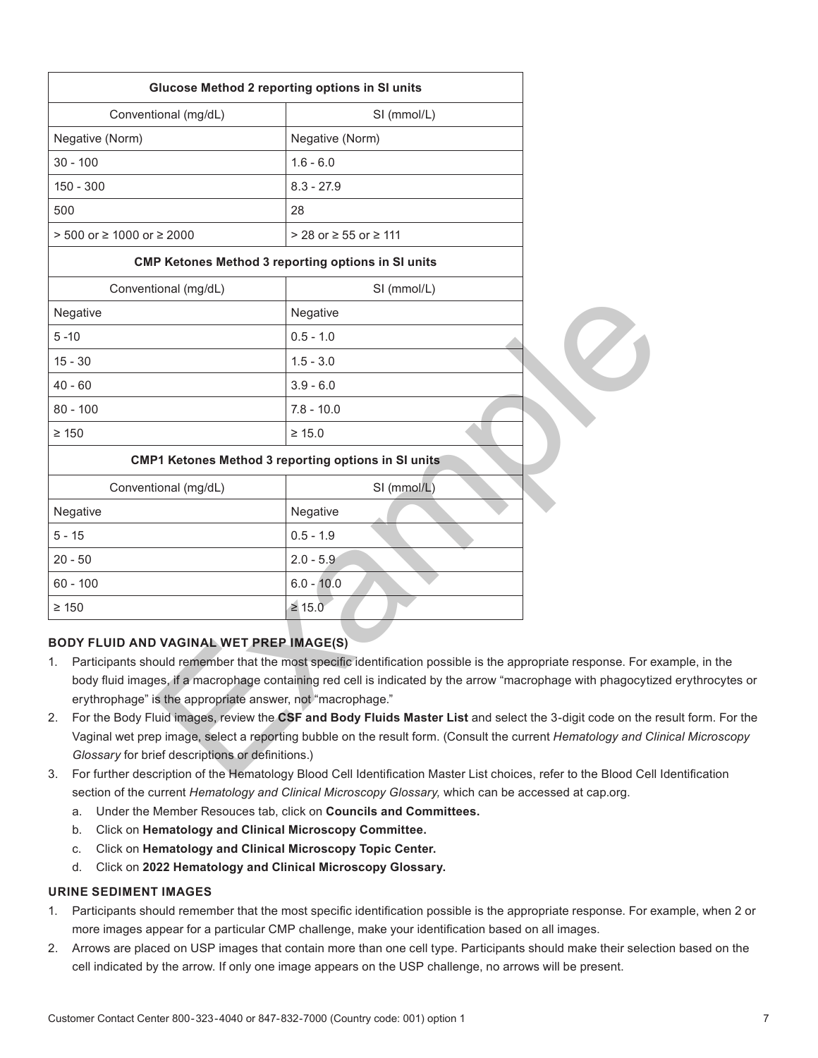|                                                                                                                     | Glucose Method 2 reporting options in SI units                                                                                                                                                                                                                                                                                                      |
|---------------------------------------------------------------------------------------------------------------------|-----------------------------------------------------------------------------------------------------------------------------------------------------------------------------------------------------------------------------------------------------------------------------------------------------------------------------------------------------|
| Conventional (mg/dL)                                                                                                | SI (mmol/L)                                                                                                                                                                                                                                                                                                                                         |
| Negative (Norm)                                                                                                     | Negative (Norm)                                                                                                                                                                                                                                                                                                                                     |
| $30 - 100$                                                                                                          | $1.6 - 6.0$                                                                                                                                                                                                                                                                                                                                         |
| $150 - 300$                                                                                                         | $8.3 - 27.9$                                                                                                                                                                                                                                                                                                                                        |
| 500                                                                                                                 | 28                                                                                                                                                                                                                                                                                                                                                  |
| > 500 or ≥ 1000 or ≥ 2000                                                                                           | > 28 or ≥ 55 or ≥ 111                                                                                                                                                                                                                                                                                                                               |
|                                                                                                                     | <b>CMP Ketones Method 3 reporting options in SI units</b>                                                                                                                                                                                                                                                                                           |
| Conventional (mg/dL)                                                                                                | SI (mmol/L)                                                                                                                                                                                                                                                                                                                                         |
| Negative                                                                                                            | Negative                                                                                                                                                                                                                                                                                                                                            |
| $5 - 10$                                                                                                            | $0.5 - 1.0$                                                                                                                                                                                                                                                                                                                                         |
| $15 - 30$                                                                                                           | $1.5 - 3.0$                                                                                                                                                                                                                                                                                                                                         |
| $40 - 60$                                                                                                           | $3.9 - 6.0$                                                                                                                                                                                                                                                                                                                                         |
| $80 - 100$                                                                                                          | $7.8 - 10.0$                                                                                                                                                                                                                                                                                                                                        |
| $\geq 150$                                                                                                          | $\geq 15.0$                                                                                                                                                                                                                                                                                                                                         |
|                                                                                                                     | CMP1 Ketones Method 3 reporting options in SI units                                                                                                                                                                                                                                                                                                 |
| Conventional (mg/dL)                                                                                                | SI (mmol/L)                                                                                                                                                                                                                                                                                                                                         |
| Negative                                                                                                            | Negative                                                                                                                                                                                                                                                                                                                                            |
| $5 - 15$                                                                                                            | $0.5 - 1.9$                                                                                                                                                                                                                                                                                                                                         |
| $20 - 50$                                                                                                           | $2.0 - 5.9$                                                                                                                                                                                                                                                                                                                                         |
| $60 - 100$                                                                                                          | $6.0 - 10.0$                                                                                                                                                                                                                                                                                                                                        |
| $\geq 150$                                                                                                          | $\geq 15.0$                                                                                                                                                                                                                                                                                                                                         |
| <b>BODY FLUID AND VAGINAL WET PREP IMAGE(S)</b><br>1.<br>erythrophage" is the appropriate answer, not "macrophage." | Participants should remember that the most specific identification possible is the appropriate response. For ex<br>body fluid images, if a macrophage containing red cell is indicated by the arrow "macrophage with phagocytize                                                                                                                    |
| 2.<br>Glossary for brief descriptions or definitions.)<br>3.                                                        | For the Body Fluid images, review the CSF and Body Fluids Master List and select the 3-digit code on the re<br>Vaginal wet prep image, select a reporting bubble on the result form. (Consult the current Hematology and Clir<br>For further description of the Hematology Blood Cell Identification Master List choices, refer to the Blood Cell I |

#### **BODY FLUID AND VAGINAL WET PREP IMAGE(S)**

- 1. Participants should remember that the most specific identification possible is the appropriate response. For example, in the body fluid images, if a macrophage containing red cell is indicated by the arrow "macrophage with phagocytized erythrocytes or erythrophage" is the appropriate answer, not "macrophage."
- 2. For the Body Fluid images, review the **CSF and Body Fluids Master List** and select the 3-digit code on the result form. For the Vaginal wet prep image, select a reporting bubble on the result form. (Consult the current *Hematology and Clinical Microscopy Glossary* for brief descriptions or definitions.)
- 3. For further description of the Hematology Blood Cell Identification Master List choices, refer to the Blood Cell Identification section of the current *Hematology and Clinical Microscopy Glossary,* which can be accessed at cap.org.
	- a. Under the Member Resouces tab, click on **Councils and Committees.**
	- b. Click on **Hematology and Clinical Microscopy Committee.**
	- c. Click on **Hematology and Clinical Microscopy Topic Center.**
	- d. Click on **2022 Hematology and Clinical Microscopy Glossary.**

#### **URINE SEDIMENT IMAGES**

- 1. Participants should remember that the most specific identification possible is the appropriate response. For example, when 2 or more images appear for a particular CMP challenge, make your identification based on all images.
- 2. Arrows are placed on USP images that contain more than one cell type. Participants should make their selection based on the cell indicated by the arrow. If only one image appears on the USP challenge, no arrows will be present.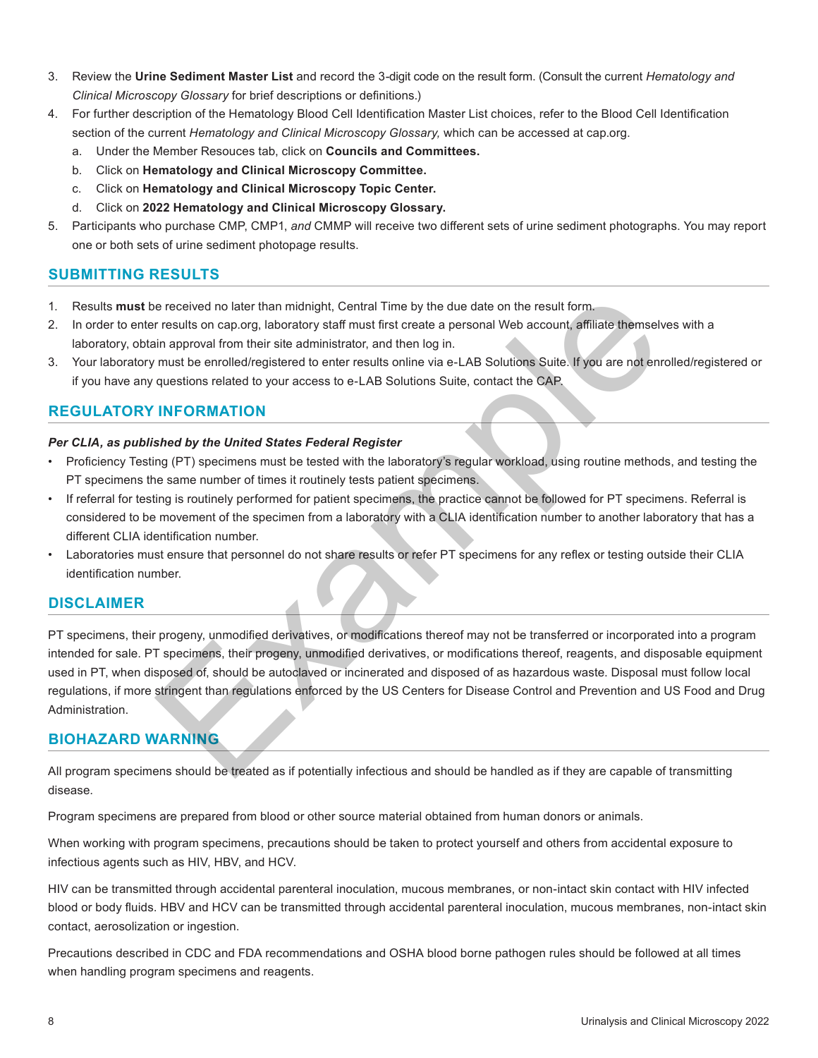- 3. Review the **Urine Sediment Master List** and record the 3-digit code on the result form. (Consult the current *Hematology and Clinical Microscopy Glossary* for brief descriptions or definitions.)
- 4. For further description of the Hematology Blood Cell Identification Master List choices, refer to the Blood Cell Identification section of the current *Hematology and Clinical Microscopy Glossary,* which can be accessed at cap.org.
	- a. Under the Member Resouces tab, click on **Councils and Committees.**
	- b. Click on **Hematology and Clinical Microscopy Committee.**
	- c. Click on **Hematology and Clinical Microscopy Topic Center.**
	- d. Click on **2022 Hematology and Clinical Microscopy Glossary.**
- 5. Participants who purchase CMP, CMP1, *and* CMMP will receive two different sets of urine sediment photographs. You may report one or both sets of urine sediment photopage results.

#### **SUBMITTING RESULTS**

- 1. Results **must** be received no later than midnight, Central Time by the due date on the result form.
- 2. In order to enter results on cap.org, laboratory staff must first create a personal Web account, affiliate themselves with a laboratory, obtain approval from their site administrator, and then log in.
- 3. Your laboratory must be enrolled/registered to enter results online via e-LAB Solutions Suite. If you are not enrolled/registered or if you have any questions related to your access to e-LAB Solutions Suite, contact the CAP.

#### **REGULATORY INFORMATION**

#### *Per CLIA, as published by the United States Federal Register*

- Proficiency Testing (PT) specimens must be tested with the laboratory's regular workload, using routine methods, and testing the PT specimens the same number of times it routinely tests patient specimens.
- If referral for testing is routinely performed for patient specimens, the practice cannot be followed for PT specimens. Referral is considered to be movement of the specimen from a laboratory with a CLIA identification number to another laboratory that has a different CLIA identification number.
- Laboratories must ensure that personnel do not share results or refer PT specimens for any reflex or testing outside their CLIA identification number.

#### **DISCLAIMER**

PT specimens, their progeny, unmodified derivatives, or modifications thereof may not be transferred or incorporated into a program intended for sale. PT specimens, their progeny, unmodified derivatives, or modifications thereof, reagents, and disposable equipment used in PT, when disposed of, should be autoclaved or incinerated and disposed of as hazardous waste. Disposal must follow local regulations, if more stringent than regulations enforced by the US Centers for Disease Control and Prevention and US Food and Drug Administration. e received no later than midnight, Central Time by the due date on the result form.<br>
results on cap.org, laboratory staff must first create a personal Web account, affiliate themselvines pin approal from their site dentini

#### **BIOHAZARD WARNING**

All program specimens should be treated as if potentially infectious and should be handled as if they are capable of transmitting disease.

Program specimens are prepared from blood or other source material obtained from human donors or animals.

When working with program specimens, precautions should be taken to protect yourself and others from accidental exposure to infectious agents such as HIV, HBV, and HCV.

HIV can be transmitted through accidental parenteral inoculation, mucous membranes, or non-intact skin contact with HIV infected blood or body fluids. HBV and HCV can be transmitted through accidental parenteral inoculation, mucous membranes, non-intact skin contact, aerosolization or ingestion.

Precautions described in CDC and FDA recommendations and OSHA blood borne pathogen rules should be followed at all times when handling program specimens and reagents.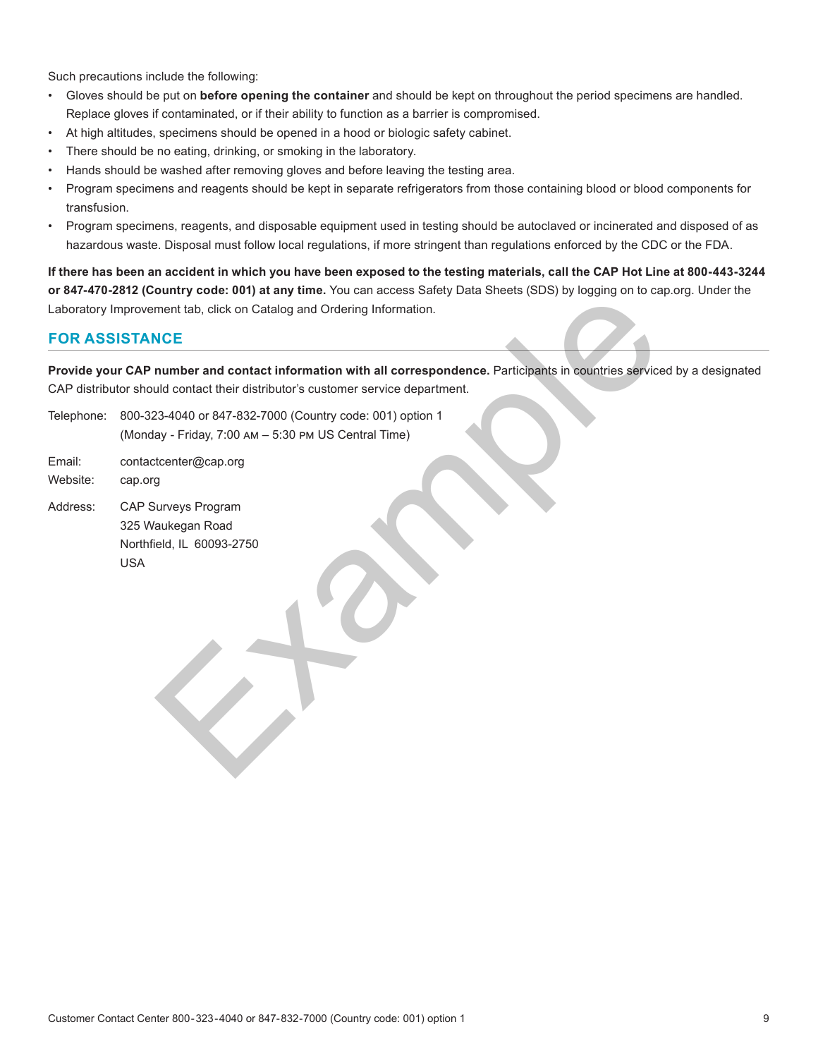Such precautions include the following:

- Gloves should be put on **before opening the container** and should be kept on throughout the period specimens are handled. Replace gloves if contaminated, or if their ability to function as a barrier is compromised.
- At high altitudes, specimens should be opened in a hood or biologic safety cabinet.
- There should be no eating, drinking, or smoking in the laboratory.
- Hands should be washed after removing gloves and before leaving the testing area.
- Program specimens and reagents should be kept in separate refrigerators from those containing blood or blood components for transfusion.
- Program specimens, reagents, and disposable equipment used in testing should be autoclaved or incinerated and disposed of as hazardous waste. Disposal must follow local regulations, if more stringent than regulations enforced by the CDC or the FDA.

**If there has been an accident in which you have been exposed to the testing materials, call the CAP Hot Line at 800-443-3244 or 847-470-2812 (Country code: 001) at any time.** You can access Safety Data Sheets (SDS) by logging on to cap.org. Under the Laboratory Improvement tab, click on Catalog and Ordering Information.

#### **FOR ASSISTANCE**

**Provide your CAP number and contact information with all correspondence.** Participants in countries serviced by a designated CAP distributor should contact their distributor's customer service department. State of the Children Capital Control of the Children Children Children Children Children Children Children Children Children Children Children Children Children Children Children Children Children Children Children Childr

Telephone: 800-323-4040 or 847-832-7000 (Country code: 001) option 1 (Monday - Friday, 7:00 am – 5:30 pm US Central Time)

Email: contactcenter@cap.org Website: cap.org

Address: CAP Surveys Program 325 Waukegan Road Northfield, IL 60093-2750 USA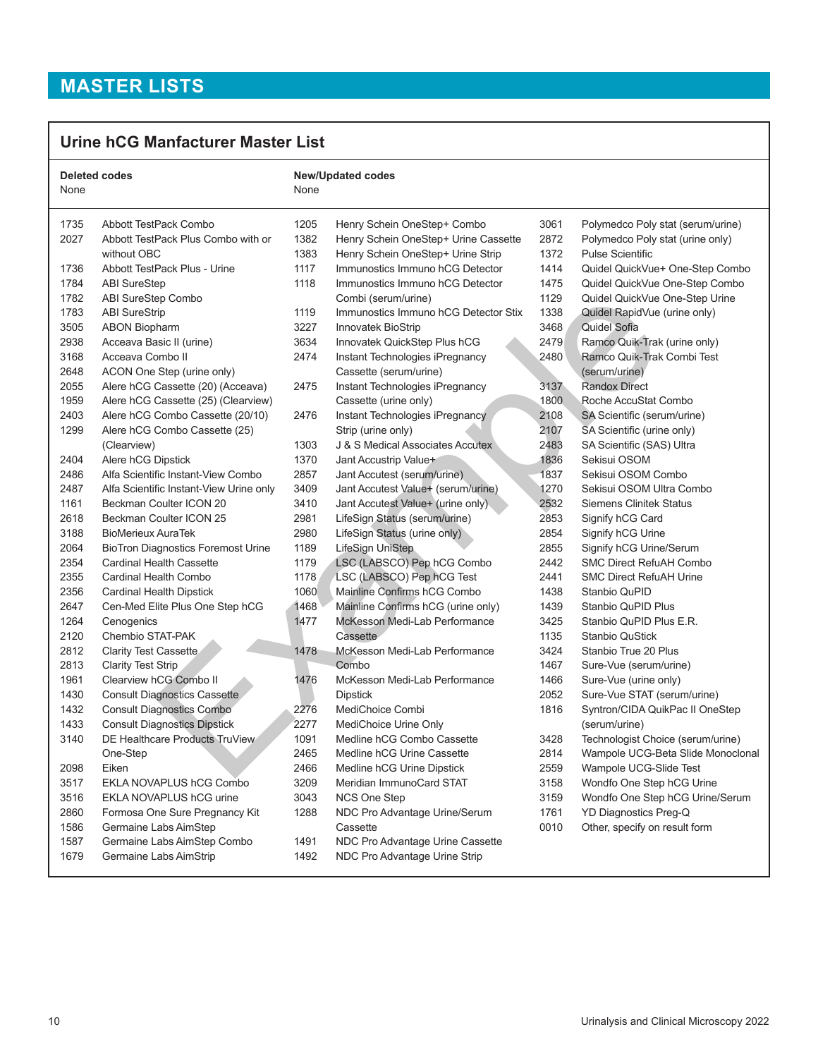### **Urine hCG Manfacturer Master List**

| None         | <b>Deleted codes</b>                                        | None         | <b>New/Updated codes</b>                                           |              |                                                                   |
|--------------|-------------------------------------------------------------|--------------|--------------------------------------------------------------------|--------------|-------------------------------------------------------------------|
| 1735         | Abbott TestPack Combo<br>Abbott TestPack Plus Combo with or | 1205         | Henry Schein OneStep+ Combo                                        | 3061         | Polymedco Poly stat (serum/urine)                                 |
| 2027         |                                                             | 1382         | Henry Schein OneStep+ Urine Cassette                               | 2872         | Polymedco Poly stat (urine only)<br><b>Pulse Scientific</b>       |
|              | without OBC                                                 | 1383<br>1117 | Henry Schein OneStep+ Urine Strip                                  | 1372         |                                                                   |
| 1736<br>1784 | Abbott TestPack Plus - Urine<br><b>ABI SureStep</b>         | 1118         | Immunostics Immuno hCG Detector<br>Immunostics Immuno hCG Detector | 1414<br>1475 | Quidel QuickVue+ One-Step Combo<br>Quidel QuickVue One-Step Combo |
| 1782         | ABI SureStep Combo                                          |              | Combi (serum/urine)                                                | 1129         | Quidel QuickVue One-Step Urine                                    |
| 1783         | <b>ABI SureStrip</b>                                        | 1119         | Immunostics Immuno hCG Detector Stix                               | 1338         | Quidel RapidVue (urine only)                                      |
| 3505         | <b>ABON Biopharm</b>                                        | 3227         | Innovatek BioStrip                                                 | 3468         | Quidel Sofia                                                      |
| 2938         | Acceava Basic II (urine)                                    | 3634         | Innovatek QuickStep Plus hCG                                       | 2479         | Ramco Quik-Trak (urine only)                                      |
| 3168         | Acceava Combo II                                            | 2474         | Instant Technologies iPregnancy                                    | 2480         | Ramco Quik-Trak Combi Test                                        |
| 2648         | ACON One Step (urine only)                                  |              | Cassette (serum/urine)                                             |              | (serum/urine)                                                     |
| 2055         | Alere hCG Cassette (20) (Acceava)                           | 2475         | Instant Technologies iPregnancy                                    | 3137         | <b>Randox Direct</b>                                              |
| 1959         | Alere hCG Cassette (25) (Clearview)                         |              | Cassette (urine only)                                              | 1800         | Roche AccuStat Combo                                              |
| 2403         | Alere hCG Combo Cassette (20/10)                            | 2476         | Instant Technologies iPregnancy                                    | 2108         | SA Scientific (serum/urine)                                       |
| 1299         | Alere hCG Combo Cassette (25)                               |              | Strip (urine only)                                                 | 2107         | SA Scientific (urine only)                                        |
|              | (Clearview)                                                 | 1303         | J & S Medical Associates Accutex                                   | 2483         | SA Scientific (SAS) Ultra                                         |
| 2404         | Alere hCG Dipstick                                          | 1370         | Jant Accustrip Value+                                              | 1836         | Sekisui OSOM                                                      |
| 2486         | Alfa Scientific Instant-View Combo                          | 2857         | Jant Accutest (serum/urine)                                        | 1837         | Sekisui OSOM Combo                                                |
| 2487         | Alfa Scientific Instant-View Urine only                     | 3409         | Jant Accutest Value+ (serum/urine)                                 | 1270         | Sekisui OSOM Ultra Combo                                          |
| 1161         | Beckman Coulter ICON 20                                     | 3410         | Jant Accutest Value+ (urine only)                                  | 2532         | <b>Siemens Clinitek Status</b>                                    |
| 2618         | Beckman Coulter ICON 25                                     | 2981         | LifeSign Status (serum/urine)                                      | 2853         | Signify hCG Card                                                  |
| 3188         | <b>BioMerieux AuraTek</b>                                   | 2980         | LifeSign Status (urine only)                                       | 2854         | Signify hCG Urine                                                 |
| 2064         | <b>BioTron Diagnostics Foremost Urine</b>                   | 1189         | LifeSign UniStep                                                   | 2855         | Signify hCG Urine/Serum                                           |
| 2354         | <b>Cardinal Health Cassette</b>                             | 1179         | LSC (LABSCO) Pep hCG Combo                                         | 2442         | <b>SMC Direct RefuAH Combo</b>                                    |
| 2355         | Cardinal Health Combo                                       | 1178         | LSC (LABSCO) Pep hCG Test                                          | 2441         | <b>SMC Direct RefuAH Urine</b>                                    |
| 2356         | Cardinal Health Dipstick                                    | 1060         | Mainline Confirms hCG Combo                                        | 1438         | Stanbio QuPID                                                     |
| 2647         | Cen-Med Elite Plus One Step hCG                             | 1468         | Mainline Confirms hCG (urine only)                                 | 1439         | Stanbio QuPID Plus                                                |
| 1264         | Cenogenics                                                  | 1477         | McKesson Medi-Lab Performance                                      | 3425         | Stanbio QuPID Plus E.R.                                           |
| 2120         | Chembio STAT-PAK                                            |              | Cassette                                                           | 1135         | <b>Stanbio QuStick</b>                                            |
| 2812         | <b>Clarity Test Cassette</b>                                | 1478         | McKesson Medi-Lab Performance                                      | 3424         | Stanbio True 20 Plus                                              |
| 2813         | <b>Clarity Test Strip</b>                                   |              | Combo                                                              | 1467         | Sure-Vue (serum/urine)                                            |
| 1961         | Clearview hCG Combo II                                      | 1476         | McKesson Medi-Lab Performance                                      | 1466         | Sure-Vue (urine only)                                             |
| 1430         | <b>Consult Diagnostics Cassette</b>                         |              | <b>Dipstick</b>                                                    | 2052         | Sure-Vue STAT (serum/urine)                                       |
| 1432         | Consult Diagnostics Combo                                   | 2276         | MediChoice Combi                                                   | 1816         | Syntron/CIDA QuikPac II OneStep                                   |
| 1433         | <b>Consult Diagnostics Dipstick</b>                         | 2277         | MediChoice Urine Only                                              |              | (serum/urine)                                                     |
| 3140         | DE Healthcare Products TruView                              | 1091         | Medline hCG Combo Cassette                                         | 3428         | Technologist Choice (serum/urine)                                 |
|              | One-Step                                                    | 2465         | Medline hCG Urine Cassette                                         | 2814         | Wampole UCG-Beta Slide Monoclonal                                 |
| 2098         | Eiken                                                       | 2466         | Medline hCG Urine Dipstick                                         | 2559         | Wampole UCG-Slide Test                                            |
| 3517         | EKLA NOVAPLUS hCG Combo                                     | 3209         | Meridian ImmunoCard STAT                                           | 3158         | Wondfo One Step hCG Urine                                         |
| 3516         | EKLA NOVAPLUS hCG urine                                     | 3043         | NCS One Step                                                       | 3159         | Wondfo One Step hCG Urine/Serum                                   |
| 2860         | Formosa One Sure Pregnancy Kit                              | 1288         | NDC Pro Advantage Urine/Serum                                      | 1761         | YD Diagnostics Preg-Q                                             |
| 1586         | Germaine Labs AimStep                                       |              | Cassette                                                           | 0010         | Other, specify on result form                                     |
| 1587         | Germaine Labs AimStep Combo                                 | 1491         | NDC Pro Advantage Urine Cassette                                   |              |                                                                   |
| 1679         | Germaine Labs AimStrip                                      | 1492         | NDC Pro Advantage Urine Strip                                      |              |                                                                   |
|              |                                                             |              |                                                                    |              |                                                                   |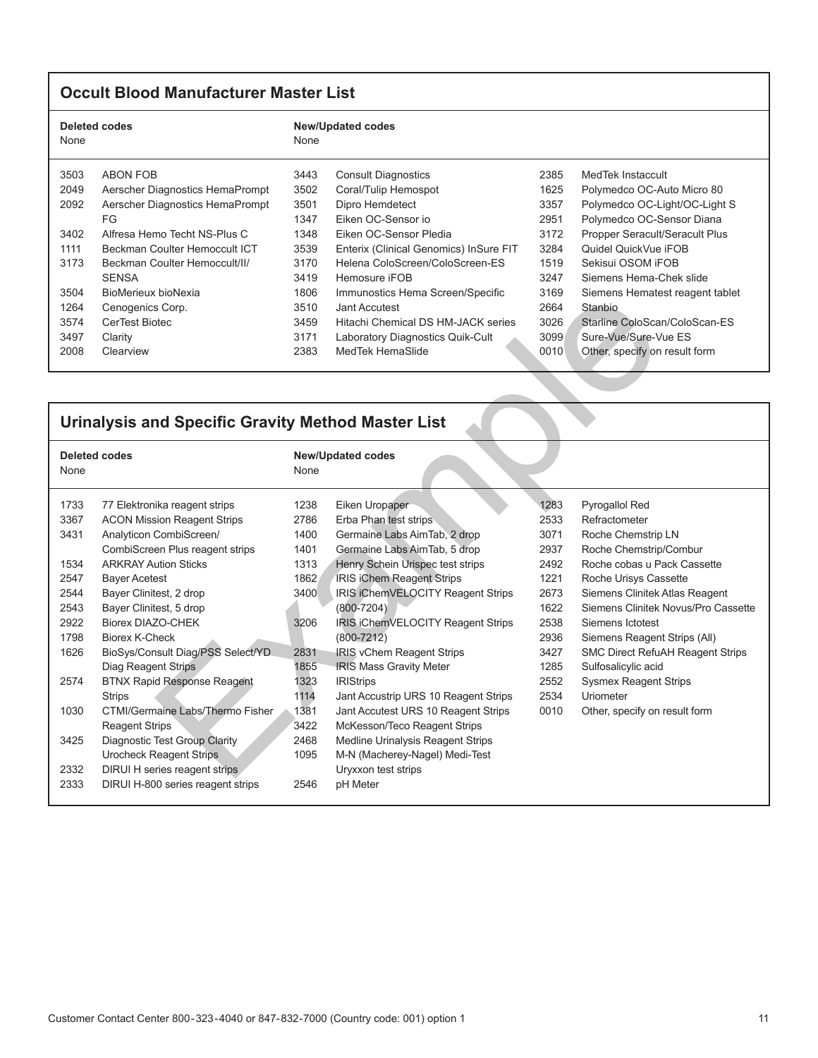### **Occult Blood Manufacturer Master List**

| None | Deleted codes                   | None | <b>New/Updated codes</b>               |      |                                 |
|------|---------------------------------|------|----------------------------------------|------|---------------------------------|
| 3503 | ABON FOB                        | 3443 | <b>Consult Diagnostics</b>             | 2385 | MedTek Instaccult               |
| 2049 | Aerscher Diagnostics HemaPrompt | 3502 | Coral/Tulip Hemospot                   | 1625 | Polymedco OC-Auto Micro 80      |
| 2092 | Aerscher Diagnostics HemaPrompt | 3501 | Dipro Hemdetect                        | 3357 | Polymedco OC-Light/OC-Light S   |
|      | FG                              | 1347 | Fiken OC-Sensor io                     | 2951 | Polymedco OC-Sensor Diana       |
| 3402 | Alfresa Hemo Techt NS-Plus C    | 1348 | Eiken OC-Sensor Pledia                 | 3172 | Propper Seracult/Seracult Plus  |
| 1111 | Beckman Coulter Hemoccult ICT   | 3539 | Enterix (Clinical Genomics) InSure FIT | 3284 | Quidel QuickVue iFOB            |
| 3173 | Beckman Coulter Hemoccult/II/   | 3170 | Helena ColoScreen/ColoScreen-ES        | 1519 | Sekisui OSOM iFOB               |
|      | <b>SENSA</b>                    | 3419 | Hemosure iFOB                          | 3247 | Siemens Hema-Chek slide         |
| 3504 | BioMerieux bioNexia             | 1806 | Immunostics Hema Screen/Specific       | 3169 | Siemens Hematest reagent tablet |
| 1264 | Cenogenics Corp.                | 3510 | <b>Jant Accutest</b>                   | 2664 | Stanbio                         |
| 3574 | CerTest Biotec                  | 3459 | Hitachi Chemical DS HM-JACK series     | 3026 | Starline ColoScan/ColoScan-ES   |
| 3497 | Clarity                         | 3171 | Laboratory Diagnostics Quik-Cult       | 3099 | Sure-Vue/Sure-Vue ES            |
| 2008 | Clearview                       | 2383 | MedTek HemaSlide                       | 0010 | Other, specify on result form   |
|      |                                 |      |                                        |      |                                 |

## **Urinalysis and Specific Gravity Method Master List**

| 35U4<br>1264<br>3574<br>3497<br>2008 | <b>BIOIVIETIEUX DIOINEXIA</b><br>Cenogenics Corp.<br>CerTest Biotec<br>Clarity | ျဝပ္ပပ<br>3510<br>3459<br>3171<br>2383 | immunostics Hema Screen/Specific<br><b>Jant Accutest</b><br>Hitachi Chemical DS HM-JACK series<br>Laboratory Diagnostics Quik-Cult<br>MedTek HemaSlide | ડ 109<br>2664<br>3026<br>3099<br>0010 | Siemens Hematest reagent tablet<br>Stanbio<br>Starline ColoScan/ColoScan-ES<br>Sure-Vue/Sure-Vue ES |
|--------------------------------------|--------------------------------------------------------------------------------|----------------------------------------|--------------------------------------------------------------------------------------------------------------------------------------------------------|---------------------------------------|-----------------------------------------------------------------------------------------------------|
|                                      | Clearview                                                                      |                                        |                                                                                                                                                        |                                       | Other, specify on result form                                                                       |
|                                      | <b>Urinalysis and Specific Gravity Method Master List</b>                      |                                        |                                                                                                                                                        |                                       |                                                                                                     |
|                                      |                                                                                |                                        |                                                                                                                                                        |                                       |                                                                                                     |
| None                                 | <b>Deleted codes</b>                                                           | None                                   | <b>New/Updated codes</b>                                                                                                                               |                                       |                                                                                                     |
| 1733                                 | 77 Elektronika reagent strips                                                  | 1238                                   | Eiken Uropaper                                                                                                                                         | 1283                                  | Pyrogallol Red                                                                                      |
| 3367                                 | <b>ACON Mission Reagent Strips</b>                                             | 2786                                   | Erba Phan test strips                                                                                                                                  | 2533                                  | Refractometer                                                                                       |
| 3431                                 | Analyticon CombiScreen/                                                        | 1400                                   | Germaine Labs AimTab, 2 drop                                                                                                                           | 3071                                  | Roche Chemstrip LN                                                                                  |
|                                      | CombiScreen Plus reagent strips                                                | 1401                                   | Germaine Labs AimTab, 5 drop                                                                                                                           | 2937                                  | Roche Chemstrip/Combur                                                                              |
| 1534                                 | <b>ARKRAY Aution Sticks</b>                                                    | 1313                                   | Henry Schein Urispec test strips                                                                                                                       | 2492                                  | Roche cobas u Pack Cassette                                                                         |
| 2547                                 | <b>Bayer Acetest</b>                                                           | 1862                                   | IRIS iChem Reagent Strips                                                                                                                              | 1221                                  | Roche Urisys Cassette                                                                               |
| 2544                                 | Bayer Clinitest, 2 drop                                                        | 3400                                   | IRIS iChemVELOCITY Reagent Strips                                                                                                                      | 2673                                  | Siemens Clinitek Atlas Reagent                                                                      |
| 2543                                 | Bayer Clinitest, 5 drop                                                        |                                        | $(800 - 7204)$                                                                                                                                         | 1622                                  | Siemens Clinitek Novus/Pro Cassette                                                                 |
| 2922                                 | Biorex DIAZO-CHEK                                                              | 3206                                   | IRIS iChemVELOCITY Reagent Strips                                                                                                                      | 2538                                  | Siemens Ictotest                                                                                    |
| 1798                                 | <b>Biorex K-Check</b>                                                          |                                        | $(800 - 7212)$                                                                                                                                         | 2936                                  | Siemens Reagent Strips (All)                                                                        |
| 1626                                 | BioSys/Consult Diag/PSS Select/YD                                              | 2831                                   | <b>IRIS vChem Reagent Strips</b>                                                                                                                       | 3427                                  | SMC Direct RefuAH Reagent Strips                                                                    |
|                                      | Diag Reagent Strips                                                            | 1855                                   | <b>IRIS Mass Gravity Meter</b>                                                                                                                         | 1285                                  | Sulfosalicylic acid                                                                                 |
| 2574                                 | <b>BTNX Rapid Response Reagent</b>                                             | 1323                                   | <b>IRIStrips</b>                                                                                                                                       | 2552                                  | <b>Sysmex Reagent Strips</b>                                                                        |
|                                      | <b>Strips</b>                                                                  | 1114                                   | Jant Accustrip URS 10 Reagent Strips                                                                                                                   | 2534                                  | Uriometer                                                                                           |
| 1030                                 | <b>CTMI/Germaine Labs/Thermo Fisher</b>                                        | 1381                                   | Jant Accutest URS 10 Reagent Strips                                                                                                                    | 0010                                  | Other, specify on result form                                                                       |
|                                      | <b>Reagent Strips</b>                                                          | 3422                                   | McKesson/Teco Reagent Strips                                                                                                                           |                                       |                                                                                                     |
| 3425                                 | Diagnostic Test Group Clarity                                                  | 2468                                   | Medline Urinalysis Reagent Strips                                                                                                                      |                                       |                                                                                                     |
|                                      | <b>Urocheck Reagent Strips</b>                                                 | 1095                                   | M-N (Macherey-Nagel) Medi-Test                                                                                                                         |                                       |                                                                                                     |
| 2332                                 | DIRUI H series reagent strips                                                  |                                        | Uryxxon test strips                                                                                                                                    |                                       |                                                                                                     |
| 2333                                 | DIRUI H-800 series reagent strips                                              | 2546                                   | pH Meter                                                                                                                                               |                                       |                                                                                                     |
|                                      |                                                                                |                                        |                                                                                                                                                        |                                       |                                                                                                     |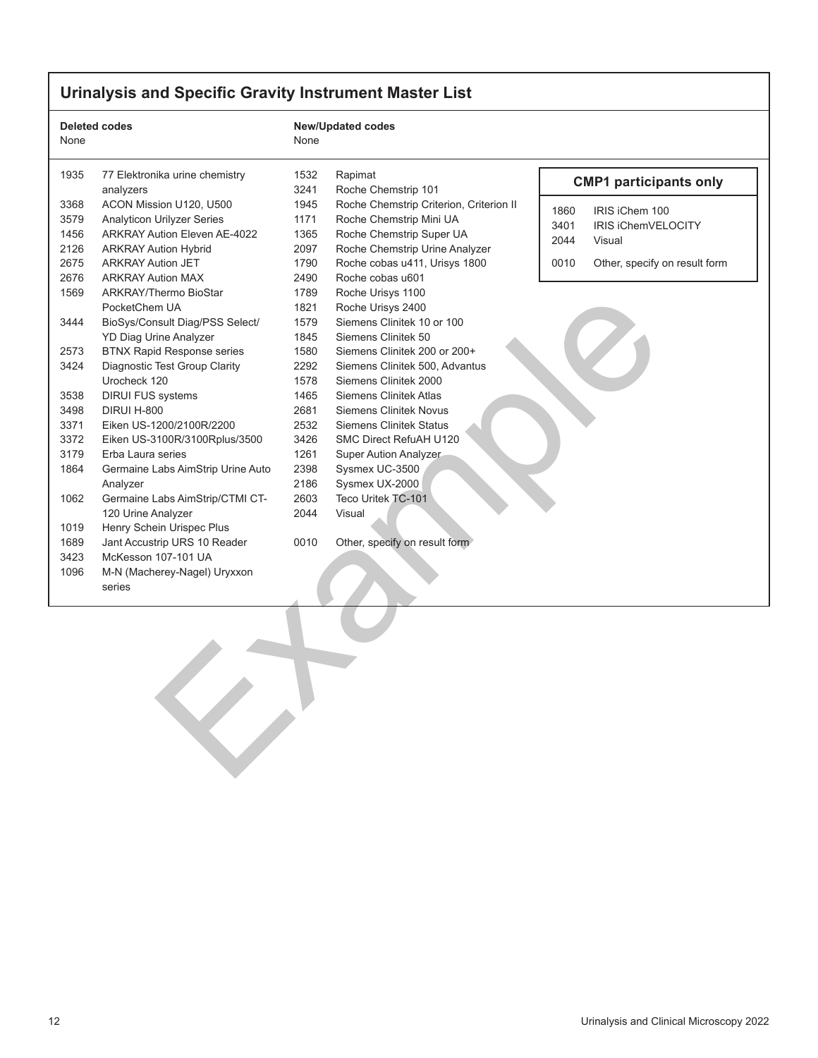### **Urinalysis and Specific Gravity Instrument Master List**

| None | <b>Deleted codes</b>                        | None         | <b>New/Updated codes</b>                |      |                               |
|------|---------------------------------------------|--------------|-----------------------------------------|------|-------------------------------|
| 1935 | 77 Elektronika urine chemistry<br>analyzers | 1532<br>3241 | Rapimat<br>Roche Chemstrip 101          |      | <b>CMP1 participants only</b> |
| 3368 | ACON Mission U120, U500                     | 1945         | Roche Chemstrip Criterion, Criterion II |      |                               |
| 3579 | <b>Analyticon Urilyzer Series</b>           | 1171         | Roche Chemstrip Mini UA                 | 1860 | IRIS iChem 100                |
| 1456 | ARKRAY Aution Eleven AE-4022                | 1365         | Roche Chemstrip Super UA                | 3401 | IRIS iChemVELOCITY            |
| 2126 | <b>ARKRAY Aution Hybrid</b>                 | 2097         | Roche Chemstrip Urine Analyzer          | 2044 | Visual                        |
| 2675 | <b>ARKRAY Aution JET</b>                    | 1790         | Roche cobas u411, Urisys 1800           | 0010 | Other, specify on result form |
| 2676 | <b>ARKRAY Aution MAX</b>                    | 2490         | Roche cobas u601                        |      |                               |
| 1569 | ARKRAY/Thermo BioStar                       | 1789         | Roche Urisys 1100                       |      |                               |
|      | PocketChem UA                               | 1821         | Roche Urisys 2400                       |      |                               |
| 3444 | BioSys/Consult Diag/PSS Select/             | 1579         | Siemens Clinitek 10 or 100              |      |                               |
|      | <b>YD Diag Urine Analyzer</b>               | 1845         | Siemens Clinitek 50                     |      |                               |
| 2573 | <b>BTNX Rapid Response series</b>           | 1580         | Siemens Clinitek 200 or 200+            |      |                               |
| 3424 | Diagnostic Test Group Clarity               | 2292         | Siemens Clinitek 500, Advantus          |      |                               |
|      | Urocheck 120                                | 1578         | Siemens Clinitek 2000                   |      |                               |
| 3538 | <b>DIRUI FUS systems</b>                    | 1465         | <b>Siemens Clinitek Atlas</b>           |      |                               |
| 3498 | <b>DIRUI H-800</b>                          | 2681         | <b>Siemens Clinitek Novus</b>           |      |                               |
| 3371 | Eiken US-1200/2100R/2200                    | 2532         | <b>Siemens Clinitek Status</b>          |      |                               |
| 3372 | Eiken US-3100R/3100Rplus/3500               | 3426         | SMC Direct RefuAH U120                  |      |                               |
| 3179 | Erba Laura series                           | 1261         | Super Aution Analyzer                   |      |                               |
| 1864 | Germaine Labs AimStrip Urine Auto           | 2398         | Sysmex UC-3500                          |      |                               |
|      | Analyzer                                    | 2186         | Sysmex UX-2000                          |      |                               |
| 1062 | Germaine Labs AimStrip/CTMI CT-             | 2603         | Teco Uritek TC-101                      |      |                               |
|      | 120 Urine Analyzer                          | 2044         | Visual                                  |      |                               |
| 1019 | Henry Schein Urispec Plus                   |              |                                         |      |                               |
| 1689 | Jant Accustrip URS 10 Reader                | 0010         | Other, specify on result form           |      |                               |
| 3423 | McKesson 107-101 UA                         |              |                                         |      |                               |
| 1096 | M-N (Macherey-Nagel) Uryxxon                |              |                                         |      |                               |
|      | series                                      |              |                                         |      |                               |
|      |                                             |              |                                         |      |                               |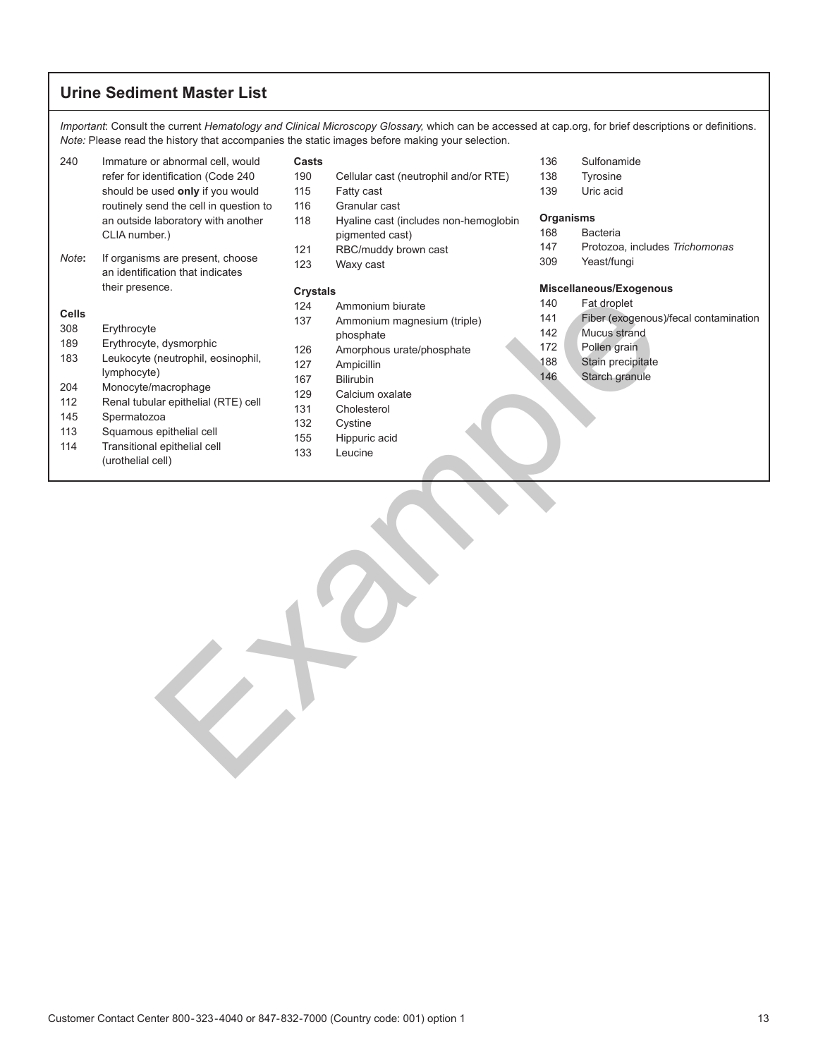#### **Urine Sediment Master List**

*Important*: Consult the current *Hematology and Clinical Microscopy Glossary,* which can be accessed at cap.org, for brief descriptions or definitions. *Note:* Please read the history that accompanies the static images before making your selection.

 Immature or abnormal cell, would refer for identification (Code 240 should be used **only** if you would routinely send the cell in question to an outside laboratory with another CLIA number.)

*Note***:** If organisms are present, choose an identification that indicates their presence.

#### **Cells**

|                                                                      |                                                                                                                                                                                                                                                           | ui yətalə                                                          |                                                                                                                                                                                               |                                        |                                                                                                        |
|----------------------------------------------------------------------|-----------------------------------------------------------------------------------------------------------------------------------------------------------------------------------------------------------------------------------------------------------|--------------------------------------------------------------------|-----------------------------------------------------------------------------------------------------------------------------------------------------------------------------------------------|----------------------------------------|--------------------------------------------------------------------------------------------------------|
| <b>Cells</b><br>308<br>189<br>183<br>204<br>112<br>145<br>113<br>114 | Erythrocyte<br>Erythrocyte, dysmorphic<br>Leukocyte (neutrophil, eosinophil,<br>lymphocyte)<br>Monocyte/macrophage<br>Renal tubular epithelial (RTE) cell<br>Spermatozoa<br>Squamous epithelial cell<br>Transitional epithelial cell<br>(urothelial cell) | 124<br>137<br>126<br>127<br>167<br>129<br>131<br>132<br>155<br>133 | Ammonium biurate<br>Ammonium magnesium (triple)<br>phosphate<br>Amorphous urate/phosphate<br>Ampicillin<br>Bilirubin<br>Calcium oxalate<br>Cholesterol<br>Cystine<br>Hippuric acid<br>Leucine | 140<br>141<br>142<br>172<br>188<br>146 | Fat droplet<br>Fiber (exogenous<br>Mucus strand<br>Pollen grain<br>Stain precipitate<br>Starch granule |
|                                                                      |                                                                                                                                                                                                                                                           |                                                                    |                                                                                                                                                                                               |                                        |                                                                                                        |

**Casts**

- Cellular cast (neutrophil and/or RTE)
- Fatty cast
- Granular cast
- Hyaline cast (includes non-hemoglobin pigmented cast)
- RBC/muddy brown cast
- Waxy cast

#### **Crystals**

- Ammonium biurate
- Ammonium magnesium (triple) phosphate
- Amorphous urate/phosphate
- Ampicillin
- Bilirubin
- Calcium oxalate
- Cholesterol
- Cystine
- Hippuric acid
- Leucine
- Sulfonamide
- Tyrosine
- Uric acid

#### **Organisms**

- Bacteria
- Protozoa, includes *Trichomonas*
- Yeast/fungi

#### **Miscellaneous/Exogenous**

- Fat droplet
- Fiber (exogenous)/fecal contamination
- Mucus strand
- 172 Pollen grain
- Stain precipitate
- Starch granule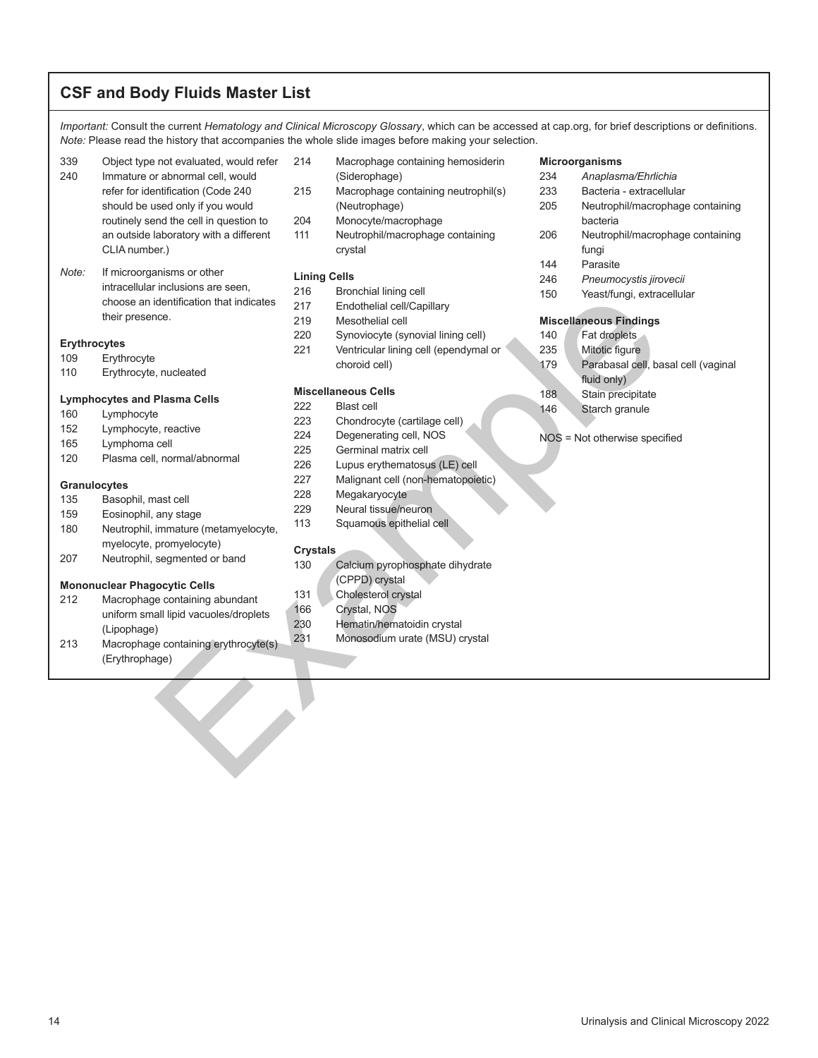### **CSF and Body Fluids Master List**

*Important:* Consult the current *Hematology and Clinical Microscopy Glossary*, which can be accessed at cap.org, for brief descriptions or definitions. *Note:* Please read the history that accompanies the whole slide images before making your selection.

| 339 | Object type not evaluated, would refer |
|-----|----------------------------------------|
| 240 | Immature or abnormal cell, would       |
|     | refer for identification (Code 240     |
|     | should be used only if you would       |
|     | routinely send the cell in question to |
|     | an outside laboratory with a different |
|     | CLIA number.)                          |
|     |                                        |

*Note:* If microorganisms or other intracellular inclusions are seen, choose an identification that indicates their presence.

#### **Erythrocytes**

- 109 Erythrocyte
- 110 Erythrocyte, nucleated

#### **Lymphocytes and Plasma Cells**

- 160 Lymphocyte
- 152 Lymphocyte, reactive
- 165 Lymphoma cell
- 120 Plasma cell, normal/abnormal

#### **Granulocytes**

#### 135 Basophil, mast cell

- 159 Eosinophil, any stage
- 180 Neutrophil, immature (metamyelocyte, myelocyte, promyelocyte)
- 207 Neutrophil, segmented or band

#### **Mononuclear Phagocytic Cells**

- 212 Macrophage containing abundant uniform small lipid vacuoles/droplets (Lipophage) 213 Macrophage containing erythrocyte(s)
- (Erythrophage)

214 Macrophage containing hemosiderin (Siderophage) 215 Macrophage containing neutrophil(s) (Neutrophage) 204 Monocyte/macrophage 111 Neutrophil/macrophage containing crystal

#### **Lining Cells**

- 216 Bronchial lining cell
- 217 Endothelial cell/Capillary
- 219 Mesothelial cell
- 220 Synoviocyte (synovial lining cell)
- 221 Ventricular lining cell (ependymal or choroid cell)

#### **Miscellaneous Cells**

- 222 Blast cell
- 223 Chondrocyte (cartilage cell)
- 224 Degenerating cell, NOS
- 225 Germinal matrix cell
- 226 Lupus erythematosus (LE) cell
- 227 Malignant cell (non-hematopoietic)
- 228 Megakaryocyte 229 Neural tissue/neuron
- 113 Squamous epithelial cell
	-

#### **Crystals**

- 130 Calcium pyrophosphate dihydrate (CPPD) crystal 131 Cholesterol crystal 166 Crystal, NOS dentification that indicates 217 Endobted a cell<br>
concerne and the set of the set of the set of the set of the set of the set of the set of the set of the set of the set of the set of the set of the set of the set of the s
	- 230 Hematin/hematoidin crystal
	- 231 Monosodium urate (MSU) crystal

#### **Microorganisms**

- 234 *Anaplasma/Ehrlichia*
- 233 Bacteria extracellular
- 205 Neutrophil/macrophage containing bacteria
- 206 Neutrophil/macrophage containing fungi
- 144 Parasite
- 246 *Pneumocystis jirovecii*
- 150 Yeast/fungi, extracellular

#### **Miscellaneous Findings**

- 140 **Fat droplets**
- 235 Mitotic figure
- 179 Parabasal cell, basal cell (vaginal
	- fluid only)
- 188 Stain precipitate
- 146 Starch granule

#### NOS = Not otherwise specified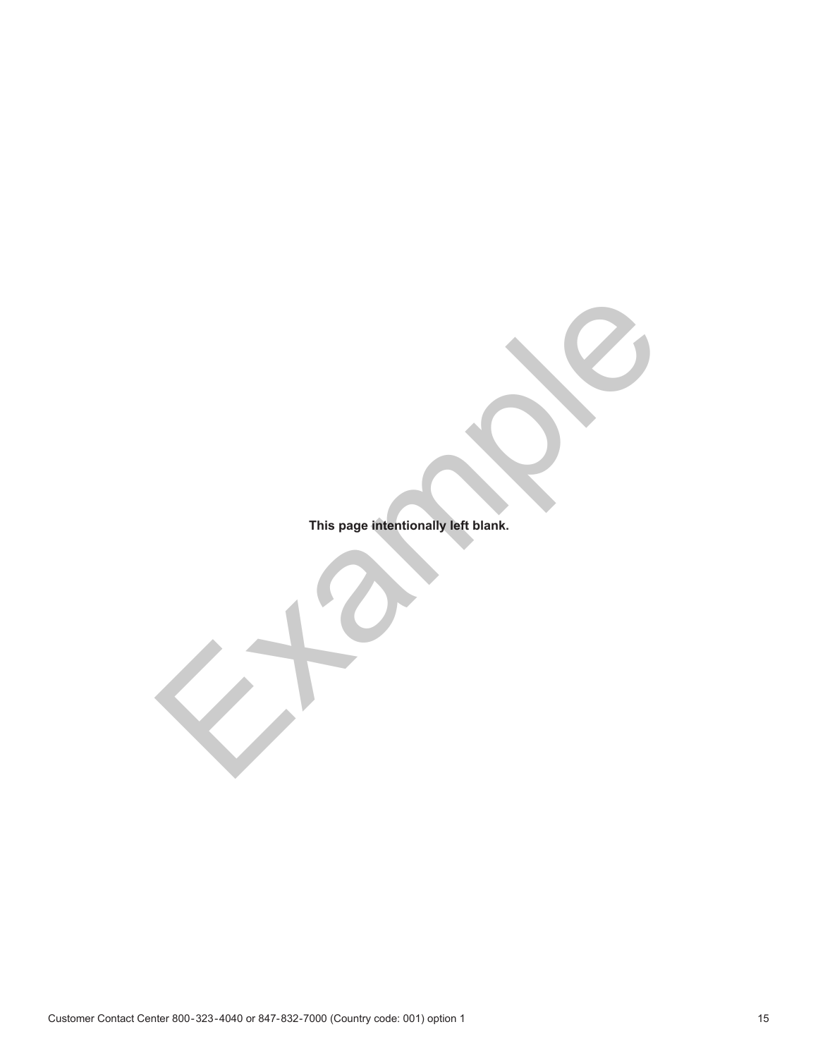**This page intentionally left blank.** 

 $\begin{pmatrix} 1 & 1 \\ 1 & 1 \end{pmatrix}$